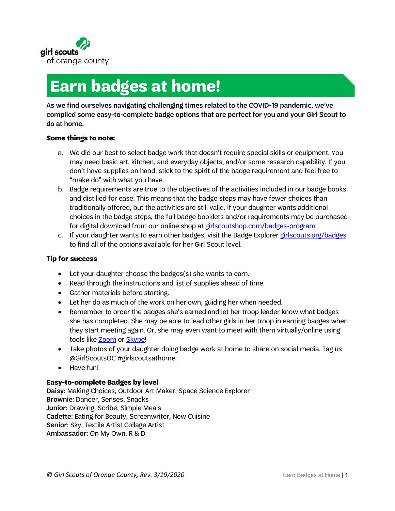

# **Earn badges at home!**

As we find ourselves navigating challenging times related to the COVID-19 pandemic, we've compiled some easy-to-complete badge options that are perfect for you and your Girl Scout to do at home.

#### **Some things to note:**

- a. We did our best to select badge work that doesn't require special skills or equipment. You may need basic art, kitchen, and everyday objects, and/or some research capability. If you don't have supplies on hand, stick to the spirit of the badge requirement and feel free to "make do" with what you have.
- b. Badge requirements are true to the objectives of the activities included in our badge books and distilled for ease. This means that the badge steps may have fewer choices than traditionally offered, but the activities are still valid. If your daughter wants additional choices in the badge steps, the full badge booklets and/or requirements may be purchased for digital download from our online shop at girlscoutshop.com/badges-program
- c. If your daughter wants to earn other badges, visit the Badge Explore[r girlscouts.org/b](https://www.girlscouts.org/en/our-program/badges/badge_explorer.html)adges to find all of the options available for her Girl Scout level.

#### **Tip for success**

- Let your daughter choose the badges(s) she wants to earn.
- Read through the instructions and list of supplies ahead of time.
- Gather materials before starting.
- Let her do as much of the work on her own, guiding her when needed.
- Remember to order the badges she's earned and let her troop leader know what badges she has completed. She may be able to lead other girls in her troop in earning badges when they start meeting again. Or, she may even want to meet with them virtually/online using tools like **Zoom** or **Skype!**
- Take photos of your daughter doing badge work at home to share on social media. Tag us @GirlScoutsOC #girlscoutsathome.
- Have fun!

#### **Easy-to-complete Badges by level**

Daisy: Making Choices, Outdoor Art Maker, Space Science Explorer Brownie: Dancer, Senses, Snacks Junior: Drawing, Scribe, Simple Meals Cadette: Eating for Beauty, Screenwriter, New Cuisine Senior: Sky, Textile Artist Collage Artist Ambassador: On My Own, R & D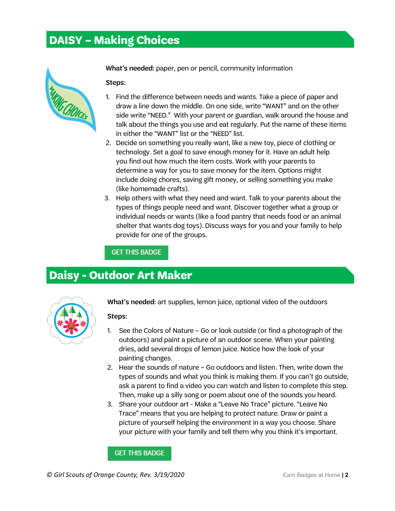# **DAISY – Making Choices**



What's needed: paper, pen or pencil, community information

Steps:

- 1. Find the difference between needs and wants. Take a piece of paper and draw a line down the middle. On one side, write "WANT" and on the other side write "NEED." With your parent or guardian, walk around the house and talk about the things you use and eat regularly. Put the name of these items in either the "WANT" list or the "NEED" list.
- 2. Decide on something you really want, like a new toy, piece of clothing or technology. Set a goal to save enough money for it. Have an adult help you find out how much the item costs. Work with your parents to determine a way for you to save money for the item. Options might include doing chores, saving gift money, or selling something you make (like homemade crafts).
- 3. Help others with what they need and want. Talk to your parents about the types of things people need and want. Discover together what a group or individual needs or wants (like a food pantry that needs food or an animal shelter that wants dog toys). Discuss ways for you and your family to help provide for one of the groups.

**GET THIS BADGE** 

### **Daisy - Outdoor Art Maker**



What's needed: art supplies, lemon juice, optional video of the outdoors

Steps:

- 1. See the Colors of Nature Go or look outside (or find a photograph of the outdoors) and paint a picture of an outdoor scene. When your painting dries, add several drops of lemon juice. Notice how the look of your painting changes.
- 2. Hear the sounds of nature Go outdoors and listen. Then, write down the types of sounds and what you think is making them. If you can't go outside, ask a parent to find a video you can watch and listen to complete this step. Then, make up a silly song or poem about one of the sounds you heard.
- 3. Share your outdoor art Make a "Leave No Trace" picture. "Leave No Trace" means that you are helping to protect nature. Draw or paint a picture of yourself helping the environment in a way you choose. Share your picture with your family and tell them why you think it's important.

**GET THIS BADGE** 

*©* **Girl Scouts of Orange County, Rev. 3/19/2020 Earn Badges at Home | 2**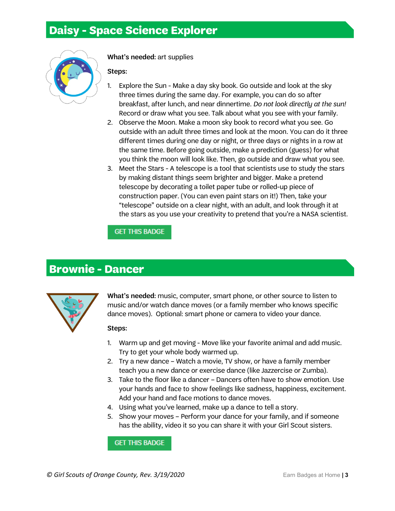### **Daisy - Space Science Explorer**



What's needed: art supplies

Steps:

- 1. Explore the Sun Make a day sky book. Go outside and look at the sky three times during the same day. For example, you can do so after breakfast, after lunch, and near dinnertime. *Do not look directly at the sun!* Record or draw what you see. Talk about what you see with your family.
- 2. Observe the Moon. Make a moon sky book to record what you see. Go outside with an adult three times and look at the moon. You can do it three different times during one day or night, or three days or nights in a row at the same time. Before going outside, make a prediction (guess) for what you think the moon will look like. Then, go outside and draw what you see.
- 3. Meet the Stars A telescope is a tool that scientists use to study the stars by making distant things seem brighter and bigger. Make a pretend telescope by decorating a toilet paper tube or rolled-up piece of construction paper. (You can even paint stars on it!) Then, take your "telescope" outside on a clear night, with an adult, and look through it at the stars as you use your creativity to pretend that you're a NASA scientist.

### **GET THIS BADGE**

### **Brownie - Dancer**



What's needed: music, computer, smart phone, or other source to listen to music and/or watch dance moves (or a family member who knows specific dance moves). Optional: smart phone or camera to video your dance.

#### Steps:

- 1. Warm up and get moving Move like your favorite animal and add music. Try to get your whole body warmed up.
- 2. Try a new dance Watch a movie, TV show, or have a family member teach you a new dance or exercise dance (like Jazzercise or Zumba).
- 3. Take to the floor like a dancer Dancers often have to show emotion. Use your hands and face to show feelings like sadness, happiness, excitement. Add your hand and face motions to dance moves.
- 4. Using what you've learned, make up a dance to tell a story.
- 5. Show your moves Perform your dance for your family, and if someone has the ability, video it so you can share it with your Girl Scout sisters.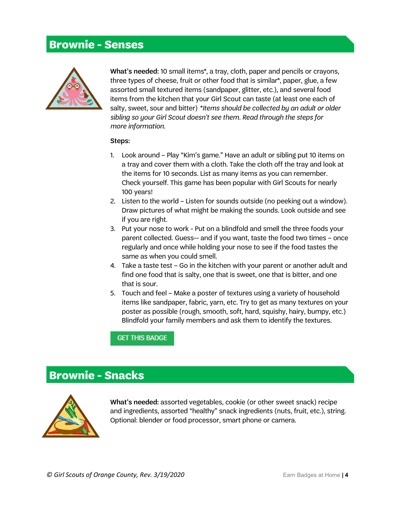## **Brownie - Senses**



What's needed: 10 small items\*, a tray, cloth, paper and pencils or crayons, three types of cheese, fruit or other food that is similar\*, paper, glue, a few assorted small textured items (sandpaper, glitter, etc.), and several food items from the kitchen that your Girl Scout can taste (at least one each of salty, sweet, sour and bitter) *\*Items should be collected by an adult or older sibling so your Girl Scout doesn't see them. Read through the steps for more information.*

#### Steps:

- 1. Look around Play "Kim's game." Have an adult or sibling put 10 items on a tray and cover them with a cloth. Take the cloth off the tray and look at the items for 10 seconds. List as many items as you can remember. Check yourself. This game has been popular with Girl Scouts for nearly 100 years!
- 2. Listen to the world Listen for sounds outside (no peeking out a window). Draw pictures of what might be making the sounds. Look outside and see if you are right.
- 3. Put your nose to work Put on a blindfold and smell the three foods your parent collected. Guess-- and if you want, taste the food two times – once regularly and once while holding your nose to see if the food tastes the same as when you could smell.
- 4. Take a taste test Go in the kitchen with your parent or another adult and find one food that is salty, one that is sweet, one that is bitter, and one that is sour.
- 5. Touch and feel Make a poster of textures using a variety of household items like sandpaper, fabric, yarn, etc. Try to get as many textures on your poster as possible (rough, smooth, soft, hard, squishy, hairy, bumpy, etc.) Blindfold your family members and ask them to identify the textures.

**GET THIS BADGE** 

# **Brownie - Snacks**



What's needed: assorted vegetables, cookie (or other sweet snack) recipe and ingredients, assorted "healthy" snack ingredients (nuts, fruit, etc.), string. Optional: blender or food processor, smart phone or camera.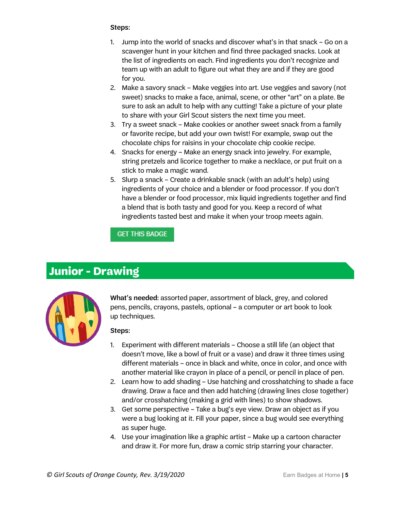#### Steps:

- 1. Jump into the world of snacks and discover what's in that snack Go on a scavenger hunt in your kitchen and find three packaged snacks. Look at the list of ingredients on each. Find ingredients you don't recognize and team up with an adult to figure out what they are and if they are good for you.
- 2. Make a savory snack Make veggies into art. Use veggies and savory (not sweet) snacks to make a face, animal, scene, or other "art" on a plate. Be sure to ask an adult to help with any cutting! Take a picture of your plate to share with your Girl Scout sisters the next time you meet.
- 3. Try a sweet snack Make cookies or another sweet snack from a family or favorite recipe, but add your own twist! For example, swap out the chocolate chips for raisins in your chocolate chip cookie recipe.
- 4. Snacks for energy Make an energy snack into jewelry. For example, string pretzels and licorice together to make a necklace, or put fruit on a stick to make a magic wand.
- 5. Slurp a snack Create a drinkable snack (with an adult's help) using ingredients of your choice and a blender or food processor. If you don't have a blender or food processor, mix liquid ingredients together and find a blend that is both tasty and good for you. Keep a record of what ingredients tasted best and make it when your troop meets again.

### **GET THIS BADGE**

### **Junior - Drawing**



What's needed: assorted paper, assortment of black, grey, and colored pens, pencils, crayons, pastels, optional – a computer or art book to look up techniques.

- 1. Experiment with different materials Choose a still life (an object that doesn't move, like a bowl of fruit or a vase) and draw it three times using different materials – once in black and white, once in color, and once with another material like crayon in place of a pencil, or pencil in place of pen.
- 2. Learn how to add shading Use hatching and crosshatching to shade a face drawing. Draw a face and then add hatching (drawing lines close together) and/or crosshatching (making a grid with lines) to show shadows.
- 3. Get some perspective Take a bug's eye view. Draw an object as if you were a bug looking at it. Fill your paper, since a bug would see everything as super huge.
- 4. Use your imagination like a graphic artist Make up a cartoon character and draw it. For more fun, draw a comic strip starring your character.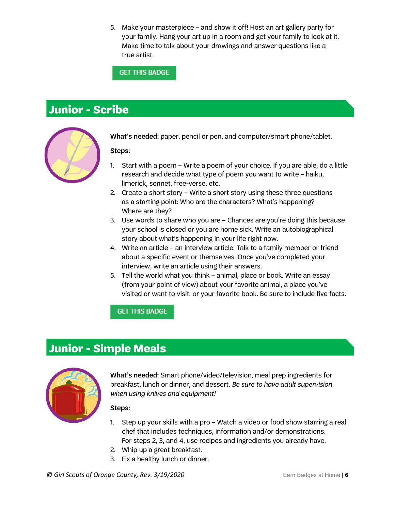5. Make your masterpiece – and show it off! Host an art gallery party for your family. Hang your art up in a room and get your family to look at it. Make time to talk about your drawings and answer questions like a true artist.

**GET THIS BADGE** 

# **Junior - Scribe**



What's needed: paper, pencil or pen, and computer/smart phone/tablet.

Steps:

- 1. Start with a poem Write a poem of your choice. If you are able, do a little research and decide what type of poem you want to write – haiku, limerick, sonnet, free-verse, etc.
- 2. Create a short story Write a short story using these three questions as a starting point: Who are the characters? What's happening? Where are they?
- 3. Use words to share who you are Chances are you're doing this because your school is closed or you are home sick. Write an autobiographical story about what's happening in your life right now.
- 4. Write an article an interview article. Talk to a family member or friend about a specific event or themselves. Once you've completed your interview, write an article using their answers.
- 5. Tell the world what you think animal, place or book. Write an essay (from your point of view) about your favorite animal, a place you've visited or want to visit, or your favorite book. Be sure to include five facts.

### **GET THIS BADGE**

# **Junior - Simple Meals**



What's needed: Smart phone/video/television, meal prep ingredients for breakfast, lunch or dinner, and dessert. *Be sure to have adult supervision when using knives and equipment!*

- 1. Step up your skills with a pro Watch a video or food show starring a real chef that includes techniques, information and/or demonstrations. For steps 2, 3, and 4, use recipes and ingredients you already have.
- 2. Whip up a great breakfast.
- 3. Fix a healthy lunch or dinner.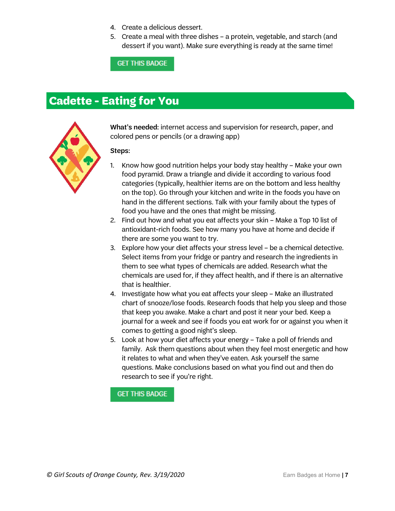- 4. Create a delicious dessert.
- 5. Create a meal with three dishes a protein, vegetable, and starch (and dessert if you want). Make sure everything is ready at the same time!

**GET THIS BADGE** 

### **Cadette - Eating for You**



What's needed: internet access and supervision for research, paper, and colored pens or pencils (or a drawing app)

Steps:

- 1. Know how good nutrition helps your body stay healthy Make your own food pyramid. Draw a triangle and divide it according to various food categories (typically, healthier items are on the bottom and less healthy on the top). Go through your kitchen and write in the foods you have on hand in the different sections. Talk with your family about the types of food you have and the ones that might be missing.
- 2. Find out how and what you eat affects your skin Make a Top 10 list of antioxidant-rich foods. See how many you have at home and decide if there are some you want to try.
- 3. Explore how your diet affects your stress level be a chemical detective. Select items from your fridge or pantry and research the ingredients in them to see what types of chemicals are added. Research what the chemicals are used for, if they affect health, and if there is an alternative that is healthier.
- 4. Investigate how what you eat affects your sleep Make an illustrated chart of snooze/lose foods. Research foods that help you sleep and those that keep you awake. Make a chart and post it near your bed. Keep a journal for a week and see if foods you eat work for or against you when it comes to getting a good night's sleep.
- 5. Look at how your diet affects your energy Take a poll of friends and family. Ask them questions about when they feel most energetic and how it relates to what and when they've eaten. Ask yourself the same questions. Make conclusions based on what you find out and then do research to see if you're right.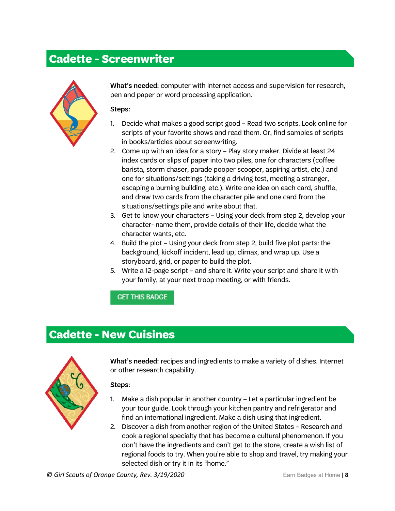### **Cadette - Screenwriter**



What's needed: computer with internet access and supervision for research, pen and paper or word processing application.

Steps:

- 1. Decide what makes a good script good Read two scripts. Look online for scripts of your favorite shows and read them. Or, find samples of scripts in books/articles about screenwriting.
- 2. Come up with an idea for a story Play story maker. Divide at least 24 index cards or slips of paper into two piles, one for characters (coffee barista, storm chaser, parade pooper scooper, aspiring artist, etc.) and one for situations/settings (taking a driving test, meeting a stranger, escaping a burning building, etc.). Write one idea on each card, shuffle, and draw two cards from the character pile and one card from the situations/settings pile and write about that.
- 3. Get to know your characters Using your deck from step 2, develop your character- name them, provide details of their life, decide what the character wants, etc.
- 4. Build the plot Using your deck from step 2, build five plot parts: the background, kickoff incident, lead up, climax, and wrap up. Use a storyboard, grid, or paper to build the plot.
- 5. Write a 12-page script and share it. Write your script and share it with your family, at your next troop meeting, or with friends.

### **GET THIS BADGE**

### **Cadette - New Cuisines**



What's needed: recipes and ingredients to make a variety of dishes. Internet or other research capability.

- 1. Make a dish popular in another country Let a particular ingredient be your tour guide. Look through your kitchen pantry and refrigerator and find an international ingredient. Make a dish using that ingredient.
- 2. Discover a dish from another region of the United States Research and cook a regional specialty that has become a cultural phenomenon. If you don't have the ingredients and can't get to the store, create a wish list of regional foods to try. When you're able to shop and travel, try making your selected dish or try it in its "home."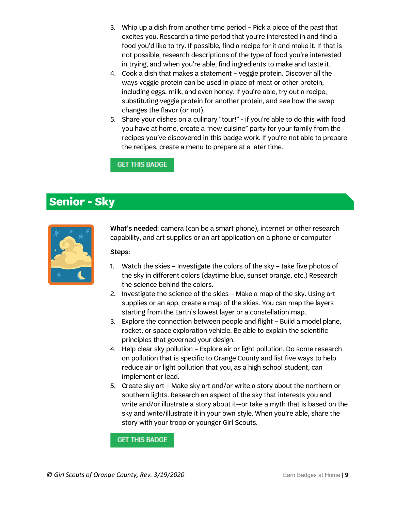- 3. Whip up a dish from another time period Pick a piece of the past that excites you. Research a time period that you're interested in and find a food you'd like to try. If possible, find a recipe for it and make it. If that is not possible, research descriptions of the type of food you're interested in trying, and when you're able, find ingredients to make and taste it.
- 4. Cook a dish that makes a statement veggie protein. Discover all the ways veggie protein can be used in place of meat or other protein, including eggs, milk, and even honey. If you're able, try out a recipe, substituting veggie protein for another protein, and see how the swap changes the flavor (or not).
- 5. Share your dishes on a culinary "tour!" if you're able to do this with food you have at home, create a "new cuisine" party for your family from the recipes you've discovered in this badge work. If you're not able to prepare the recipes, create a menu to prepare at a later time.

### **GET THIS BADGE**

### **Senior - Sky**



What's needed: camera (can be a smart phone), internet or other research capability, and art supplies or an art application on a phone or computer

#### Steps:

- 1. Watch the skies Investigate the colors of the sky take five photos of the sky in different colors (daytime blue, sunset orange, etc.) Research the science behind the colors.
- 2. Investigate the science of the skies Make a map of the sky. Using art supplies or an app, create a map of the skies. You can map the layers starting from the Earth's lowest layer or a constellation map.
- 3. Explore the connection between people and flight Build a model plane, rocket, or space exploration vehicle. Be able to explain the scientific principles that governed your design.
- 4. Help clear sky pollution Explore air or light pollution. Do some research on pollution that is specific to Orange County and list five ways to help reduce air or light pollution that you, as a high school student, can implement or lead.
- 5. Create sky art Make sky art and/or write a story about the northern or southern lights. Research an aspect of the sky that interests you and write and/or illustrate a story about it--or take a myth that is based on the sky and write/illustrate it in your own style. When you're able, share the story with your troop or younger Girl Scouts.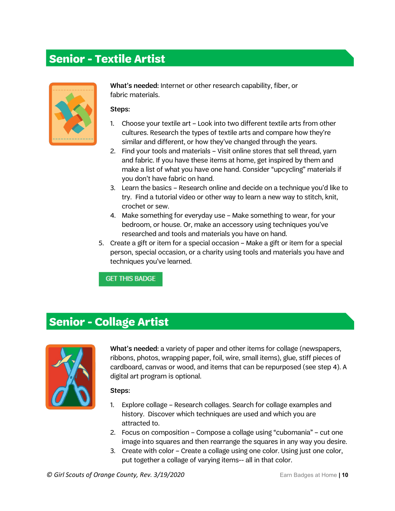### **Senior - Textile Artist**



What's needed: Internet or other research capability, fiber, or fabric materials.

#### Steps:

- 1. Choose your textile art Look into two different textile arts from other cultures. Research the types of textile arts and compare how they're similar and different, or how they've changed through the years.
- 2. Find your tools and materials Visit online stores that sell thread, yarn and fabric. If you have these items at home, get inspired by them and make a list of what you have one hand. Consider "upcycling" materials if you don't have fabric on hand.
- 3. Learn the basics Research online and decide on a technique you'd like to try. Find a tutorial video or other way to learn a new way to stitch, knit, crochet or sew.
- 4. Make something for everyday use Make something to wear, for your bedroom, or house. Or, make an accessory using techniques you've researched and tools and materials you have on hand.
- 5. Create a gift or item for a special occasion Make a gift or item for a special person, special occasion, or a charity using tools and materials you have and techniques you've learned.

**GET THIS BADGE** 

# **Senior - Collage Artist**



What's needed: a variety of paper and other items for collage (newspapers, ribbons, photos, wrapping paper, foil, wire, small items), glue, stiff pieces of cardboard, canvas or wood, and items that can be repurposed (see step 4). A digital art program is optional.

- 1. Explore collage Research collages. Search for collage examples and history. Discover which techniques are used and which you are attracted to.
- 2. Focus on composition Compose a collage using "cubomania" cut one image into squares and then rearrange the squares in any way you desire.
- 3. Create with color Create a collage using one color. Using just one color, put together a collage of varying items-- all in that color.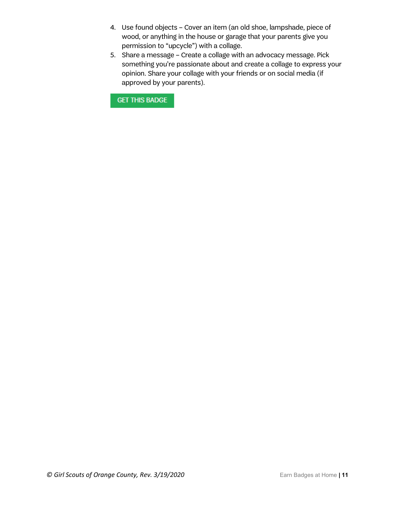- 4. Use found objects Cover an item (an old shoe, lampshade, piece of wood, or anything in the house or garage that your parents give you permission to "upcycle") with a collage.
- 5. Share a message Create a collage with an advocacy message. Pick something you're passionate about and create a collage to express your opinion. Share your collage with your friends or on social media (if approved by your parents).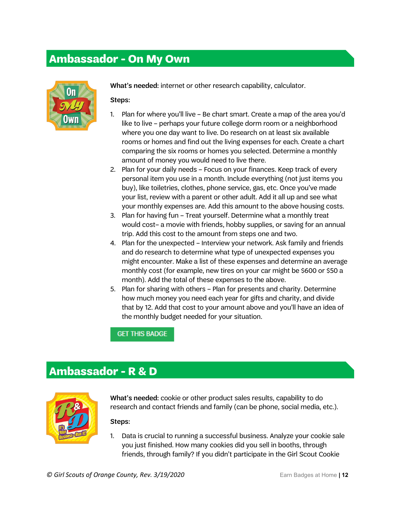### **Ambassador - On My Own**



What's needed: internet or other research capability, calculator.

#### Steps:

- 1. Plan for where you'll live Be chart smart. Create a map of the area you'd like to live – perhaps your future college dorm room or a neighborhood where you one day want to live. Do research on at least six available rooms or homes and find out the living expenses for each. Create a chart comparing the six rooms or homes you selected. Determine a monthly amount of money you would need to live there.
- 2. Plan for your daily needs Focus on your finances. Keep track of every personal item you use in a month. Include everything (not just items you buy), like toiletries, clothes, phone service, gas, etc. Once you've made your list, review with a parent or other adult. Add it all up and see what your monthly expenses are. Add this amount to the above housing costs.
- 3. Plan for having fun Treat yourself. Determine what a monthly treat would cost– a movie with friends, hobby supplies, or saving for an annual trip. Add this cost to the amount from steps one and two.
- 4. Plan for the unexpected Interview your network. Ask family and friends and do research to determine what type of unexpected expenses you might encounter. Make a list of these expenses and determine an average monthly cost (for example, new tires on your car might be \$600 or \$50 a month). Add the total of these expenses to the above.
- 5. Plan for sharing with others Plan for presents and charity. Determine how much money you need each year for gifts and charity, and divide that by 12. Add that cost to your amount above and you'll have an idea of the monthly budget needed for your situation.

### **GET THIS BADGE**

### **Ambassador - R & D**



What's needed: cookie or other product sales results, capability to do research and contact friends and family (can be phone, social media, etc.).

Steps:

1. Data is crucial to running a successful business. Analyze your cookie sale you just finished. How many cookies did you sell in booths, through friends, through family? If you didn't participate in the Girl Scout Cookie